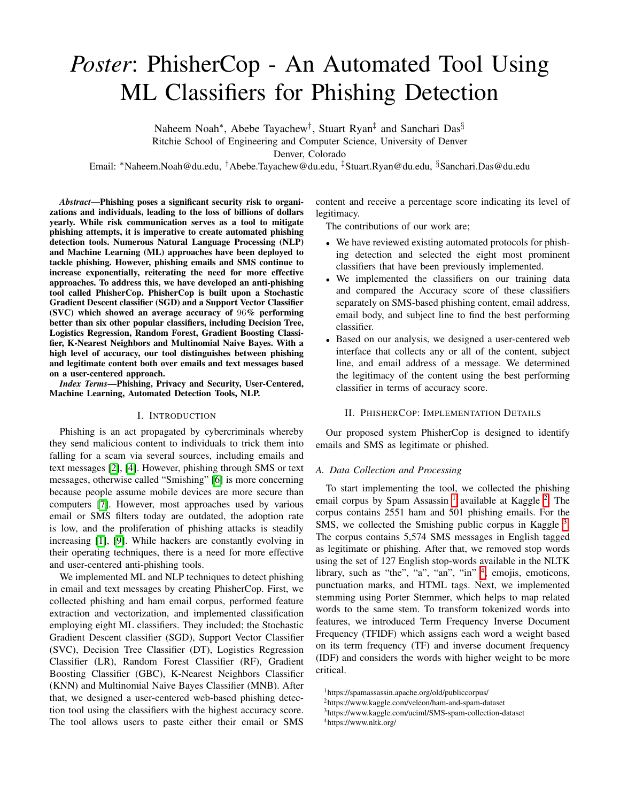# *Poster*: PhisherCop - An Automated Tool Using ML Classifiers for Phishing Detection

Naheem Noah<sup>\*</sup>, Abebe Tayachew<sup>†</sup>, Stuart Ryan<sup>‡</sup> and Sanchari Das<sup>§</sup> Ritchie School of Engineering and Computer Science, University of Denver

Denver, Colorado

Email: ⇤Naheem.Noah@du.edu, *†*Abebe.Tayachew@du.edu, *‡*Stuart.Ryan@du.edu, *§*Sanchari.Das@du.edu

*Abstract*—Phishing poses a significant security risk to organizations and individuals, leading to the loss of billions of dollars yearly. While risk communication serves as a tool to mitigate phishing attempts, it is imperative to create automated phishing detection tools. Numerous Natural Language Processing (NLP) and Machine Learning (ML) approaches have been deployed to tackle phishing. However, phishing emails and SMS continue to increase exponentially, reiterating the need for more effective approaches. To address this, we have developed an anti-phishing tool called PhisherCop. PhisherCop is built upon a Stochastic Gradient Descent classifier (SGD) and a Support Vector Classifier (SVC) which showed an average accuracy of 96% performing better than six other popular classifiers, including Decision Tree, Logistics Regression, Random Forest, Gradient Boosting Classifier, K-Nearest Neighbors and Multinomial Naive Bayes. With a high level of accuracy, our tool distinguishes between phishing and legitimate content both over emails and text messages based on a user-centered approach.

*Index Terms*—Phishing, Privacy and Security, User-Centered, Machine Learning, Automated Detection Tools, NLP.

#### I. INTRODUCTION

Phishing is an act propagated by cybercriminals whereby they send malicious content to individuals to trick them into falling for a scam via several sources, including emails and text messages  $[2]$ ,  $[4]$ . However, phishing through SMS or text messages, otherwise called "Smishing" [6] is more concerning because people assume mobile devices are more secure than computers [7]. However, most approaches used by various email or SMS filters today are outdated, the adoption rate is low, and the proliferation of phishing attacks is steadily increasing  $[\![\mathbf{l}]\!]$ ,  $[\![\mathbf{9}]\!]$ . While hackers are constantly evolving in their operating techniques, there is a need for more effective and user-centered anti-phishing tools.

We implemented ML and NLP techniques to detect phishing in email and text messages by creating PhisherCop. First, we collected phishing and ham email corpus, performed feature extraction and vectorization, and implemented classification employing eight ML classifiers. They included; the Stochastic Gradient Descent classifier (SGD), Support Vector Classifier (SVC), Decision Tree Classifier (DT), Logistics Regression Classifier (LR), Random Forest Classifier (RF), Gradient Boosting Classifier (GBC), K-Nearest Neighbors Classifier (KNN) and Multinomial Naive Bayes Classifier (MNB). After that, we designed a user-centered web-based phishing detection tool using the classifiers with the highest accuracy score. The tool allows users to paste either their email or SMS

content and receive a percentage score indicating its level of legitimacy.

The contributions of our work are;

- *•* We have reviewed existing automated protocols for phishing detection and selected the eight most prominent classifiers that have been previously implemented.
- *•* We implemented the classifiers on our training data and compared the Accuracy score of these classifiers separately on SMS-based phishing content, email address, email body, and subject line to find the best performing classifier.
- *•* Based on our analysis, we designed a user-centered web interface that collects any or all of the content, subject line, and email address of a message. We determined the legitimacy of the content using the best performing classifier in terms of accuracy score.

# II. PHISHERCOP: IMPLEMENTATION DETAILS

Our proposed system PhisherCop is designed to identify emails and SMS as legitimate or phished.

#### *A. Data Collection and Processing*

To start implementing the tool, we collected the phishing email corpus by Spam Assassin  $\frac{1}{2}$  available at Kaggle  $\frac{1}{2}$ . The corpus contains 2551 ham and 501 phishing emails. For the SMS, we collected the Smishing public corpus in Kaggle  $\frac{3}{5}$ . The corpus contains 5,574 SMS messages in English tagged as legitimate or phishing. After that, we removed stop words using the set of 127 English stop-words available in the NLTK library, such as "the", "a", "an", "in"  $\frac{4}{3}$  emojis, emoticons, punctuation marks, and HTML tags. Next, we implemented stemming using Porter Stemmer, which helps to map related words to the same stem. To transform tokenized words into features, we introduced Term Frequency Inverse Document Frequency (TFIDF) which assigns each word a weight based on its term frequency (TF) and inverse document frequency (IDF) and considers the words with higher weight to be more critical.

<sup>1</sup>https://spamassassin.apache.org/old/publiccorpus/

<sup>2</sup>https://www.kaggle.com/veleon/ham-and-spam-dataset

<sup>3</sup>https://www.kaggle.com/uciml/SMS-spam-collection-dataset

<sup>4</sup>https://www.nltk.org/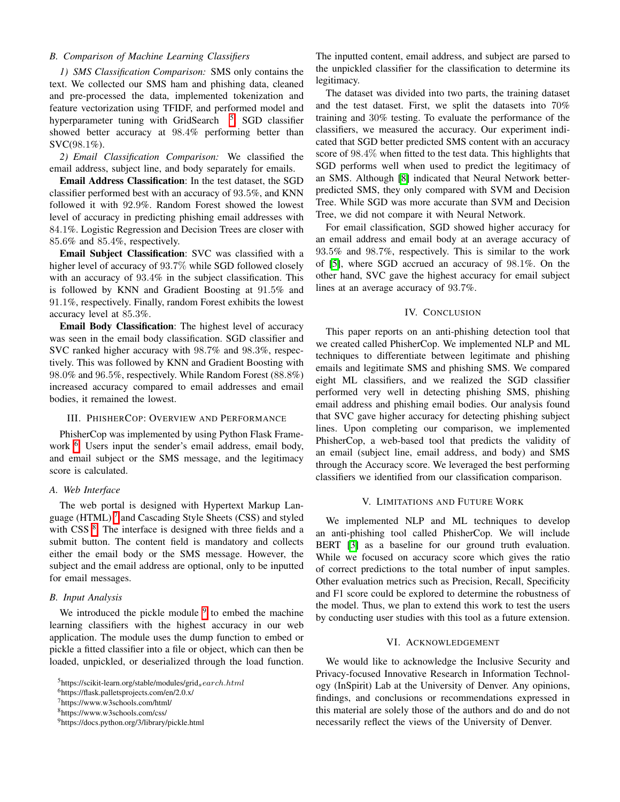# *B. Comparison of Machine Learning Classifiers*

*1) SMS Classification Comparison:* SMS only contains the text. We collected our SMS ham and phishing data, cleaned and pre-processed the data, implemented tokenization and feature vectorization using TFIDF, and performed model and hyperparameter tuning with GridSearch  $\frac{5}{5}$ . SGD classifier showed better accuracy at 98*.*4% performing better than SVC(98*.*1%).

*2) Email Classification Comparison:* We classified the email address, subject line, and body separately for emails.

Email Address Classification: In the test dataset, the SGD classifier performed best with an accuracy of 93*.*5%, and KNN followed it with 92*.*9%. Random Forest showed the lowest level of accuracy in predicting phishing email addresses with 84*.*1%. Logistic Regression and Decision Trees are closer with 85*.*6% and 85*.*4%, respectively.

Email Subject Classification: SVC was classified with a higher level of accuracy of 93*.*7% while SGD followed closely with an accuracy of 93*.*4% in the subject classification. This is followed by KNN and Gradient Boosting at 91*.*5% and 91*.*1%, respectively. Finally, random Forest exhibits the lowest accuracy level at 85*.*3%.

Email Body Classification: The highest level of accuracy was seen in the email body classification. SGD classifier and SVC ranked higher accuracy with 98*.*7% and 98*.*3%, respectively. This was followed by KNN and Gradient Boosting with 98*.*0% and 96*.*5%, respectively. While Random Forest (88*.*8%) increased accuracy compared to email addresses and email bodies, it remained the lowest.

## III. PHISHERCOP: OVERVIEW AND PERFORMANCE

PhisherCop was implemented by using Python Flask Framework  $\left| \cdot \right|$ . Users input the sender's email address, email body, and email subject or the SMS message, and the legitimacy score is calculated.

#### *A. Web Interface*

The web portal is designed with Hypertext Markup Language (HTML) $\sqrt{7}$  and Cascading Style Sheets (CSS) and styled with CSS  $\frac{8}{5}$ . The interface is designed with three fields and a submit button. The content field is mandatory and collects either the email body or the SMS message. However, the subject and the email address are optional, only to be inputted for email messages.

#### *B. Input Analysis*

We introduced the pickle module  $\sqrt{9}$  to embed the machine learning classifiers with the highest accuracy in our web application. The module uses the dump function to embed or pickle a fitted classifier into a file or object, which can then be loaded, unpickled, or deserialized through the load function.

The inputted content, email address, and subject are parsed to the unpickled classifier for the classification to determine its legitimacy.

The dataset was divided into two parts, the training dataset and the test dataset. First, we split the datasets into 70% training and 30% testing. To evaluate the performance of the classifiers, we measured the accuracy. Our experiment indicated that SGD better predicted SMS content with an accuracy score of 98*.*4% when fitted to the test data. This highlights that SGD performs well when used to predict the legitimacy of an SMS. Although [8] indicated that Neural Network betterpredicted SMS, they only compared with SVM and Decision Tree. While SGD was more accurate than SVM and Decision Tree, we did not compare it with Neural Network.

For email classification, SGD showed higher accuracy for an email address and email body at an average accuracy of 93*.*5% and 98*.*7%, respectively. This is similar to the work of [5], where SGD accrued an accuracy of 98*.*1%. On the other hand, SVC gave the highest accuracy for email subject lines at an average accuracy of 93*.*7%.

## IV. CONCLUSION

This paper reports on an anti-phishing detection tool that we created called PhisherCop. We implemented NLP and ML techniques to differentiate between legitimate and phishing emails and legitimate SMS and phishing SMS. We compared eight ML classifiers, and we realized the SGD classifier performed very well in detecting phishing SMS, phishing email address and phishing email bodies. Our analysis found that SVC gave higher accuracy for detecting phishing subject lines. Upon completing our comparison, we implemented PhisherCop, a web-based tool that predicts the validity of an email (subject line, email address, and body) and SMS through the Accuracy score. We leveraged the best performing classifiers we identified from our classification comparison.

#### V. LIMITATIONS AND FUTURE WORK

We implemented NLP and ML techniques to develop an anti-phishing tool called PhisherCop. We will include BERT **[3]** as a baseline for our ground truth evaluation. While we focused on accuracy score which gives the ratio of correct predictions to the total number of input samples. Other evaluation metrics such as Precision, Recall, Specificity and F1 score could be explored to determine the robustness of the model. Thus, we plan to extend this work to test the users by conducting user studies with this tool as a future extension.

#### VI. ACKNOWLEDGEMENT

We would like to acknowledge the Inclusive Security and Privacy-focused Innovative Research in Information Technology (InSpirit) Lab at the University of Denver. Any opinions, findings, and conclusions or recommendations expressed in this material are solely those of the authors and do and do not necessarily reflect the views of the University of Denver.

<sup>5</sup>https://scikit-learn.org/stable/modules/grid*search.html* 6https://flask.palletsprojects.com/en/2.0.x/

<sup>7</sup>https://www.w3schools.com/html/

<sup>8</sup>https://www.w3schools.com/css/

<sup>9</sup>https://docs.python.org/3/library/pickle.html